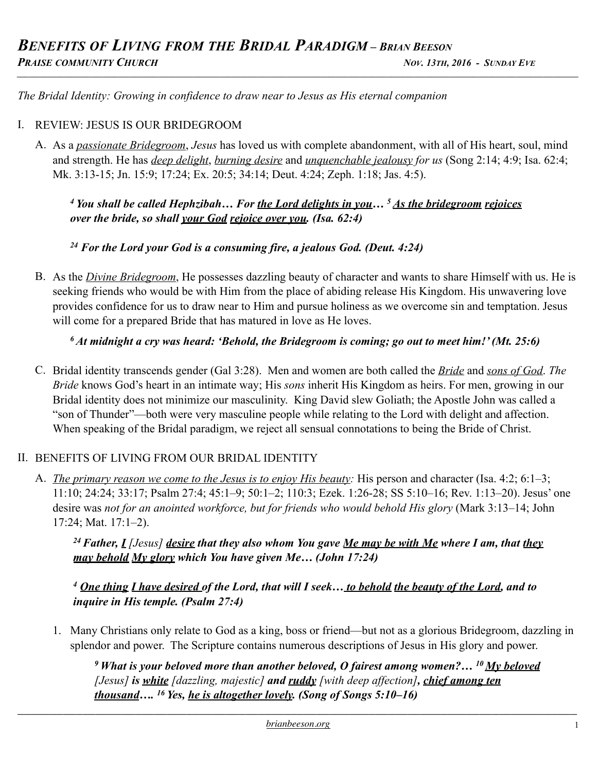*The Bridal Identity: Growing in confidence to draw near to Jesus as His eternal companion* 

#### I. REVIEW: JESUS IS OUR BRIDEGROOM

A. As a *passionate Bridegroom*, *Jesus* has loved us with complete abandonment, with all of His heart, soul, mind and strength. He has *deep delight*, *burning desire* and *unquenchable jealousy for us* (Song 2:14; 4:9; Isa. 62:4; Mk. 3:13-15; Jn. 15:9; 17:24; Ex. 20:5; 34:14; Deut. 4:24; Zeph. 1:18; Jas. 4:5).

*4 You shall be called Hephzibah… For the Lord delights in you… 5 As the bridegroom rejoices over the bride, so shall your God rejoice over you. (Isa. 62:4)* 

#### *24 For the Lord your God is a consuming fire, a jealous God. (Deut. 4:24)*

B. As the *Divine Bridegroom*, He possesses dazzling beauty of character and wants to share Himself with us. He is seeking friends who would be with Him from the place of abiding release His Kingdom. His unwavering love provides confidence for us to draw near to Him and pursue holiness as we overcome sin and temptation. Jesus will come for a prepared Bride that has matured in love as He loves.

#### *6 At midnight a cry was heard: 'Behold, the Bridegroom is coming; go out to meet him!' (Mt. 25:6)*

C. Bridal identity transcends gender (Gal 3:28). Men and women are both called the *Bride* and *sons of God*. *The Bride* knows God's heart in an intimate way; His *sons* inherit His Kingdom as heirs. For men, growing in our Bridal identity does not minimize our masculinity. King David slew Goliath; the Apostle John was called a "son of Thunder"—both were very masculine people while relating to the Lord with delight and affection. When speaking of the Bridal paradigm, we reject all sensual connotations to being the Bride of Christ.

## II. BENEFITS OF LIVING FROM OUR BRIDAL IDENTITY

A. *The primary reason we come to the Jesus is to enjoy His beauty:* His person and character (Isa. 4:2; 6:1–3; 11:10; 24:24; 33:17; Psalm 27:4; 45:1–9; 50:1–2; 110:3; Ezek. 1:26-28; SS 5:10–16; Rev. 1:13–20). Jesus' one desire was *not for an anointed workforce, but for friends who would behold His glory* (Mark 3:13–14; John 17:24; Mat. 17:1–2).

*24 Father, I [Jesus] desire that they also whom You gave Me may be with Me where I am, that they may behold My glory which You have given Me… (John 17:24)*

*<sup>4</sup> One thing I have desired of the Lord, that will I seek… to behold the beauty of the Lord, and to inquire in His temple. (Psalm 27:4)* 

1. Many Christians only relate to God as a king, boss or friend—but not as a glorious Bridegroom, dazzling in splendor and power. The Scripture contains numerous descriptions of Jesus in His glory and power.

*9 What is your beloved more than another beloved, O fairest among women?… 10 My beloved [Jesus] is white [dazzling, majestic] and ruddy [with deep affection], chief among ten thousand…. 16 Yes, he is altogether lovely. (Song of Songs 5:10–16)*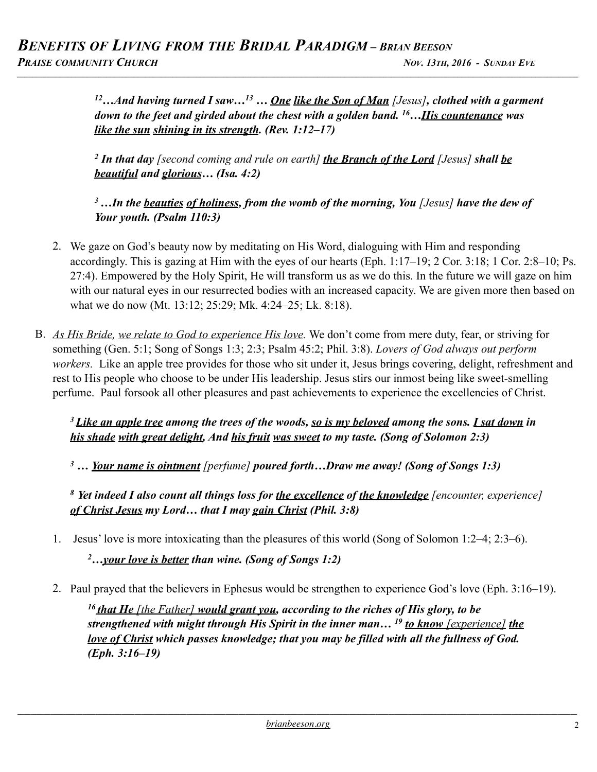*12…And having turned I saw…13 … One like the Son of Man [Jesus], clothed with a garment down to the feet and girded about the chest with a golden band. 16…His countenance was like the sun shining in its strength. (Rev. 1:12–17)* 

*2 In that day [second coming and rule on earth] the Branch of the Lord [Jesus] shall be beautiful and glorious… (Isa. 4:2)* 

*3 …In the beauties of holiness, from the womb of the morning, You [Jesus] have the dew of Your youth. (Psalm 110:3)* 

- 2. We gaze on God's beauty now by meditating on His Word, dialoguing with Him and responding accordingly. This is gazing at Him with the eyes of our hearts (Eph. 1:17–19; 2 Cor. 3:18; 1 Cor. 2:8–10; Ps. 27:4). Empowered by the Holy Spirit, He will transform us as we do this. In the future we will gaze on him with our natural eyes in our resurrected bodies with an increased capacity. We are given more then based on what we do now (Mt. 13:12; 25:29; Mk. 4:24–25; Lk. 8:18).
- B. *As His Bride, we relate to God to experience His love.* We don't come from mere duty, fear, or striving for something (Gen. 5:1; Song of Songs 1:3; 2:3; Psalm 45:2; Phil. 3:8). *Lovers of God always out perform workers.* Like an apple tree provides for those who sit under it, Jesus brings covering, delight, refreshment and rest to His people who choose to be under His leadership. Jesus stirs our inmost being like sweet-smelling perfume. Paul forsook all other pleasures and past achievements to experience the excellencies of Christ.

*3 Like an apple tree among the trees of the woods, so is my beloved among the sons. I sat down in his shade with great delight, And his fruit was sweet to my taste. (Song of Solomon 2:3)* 

*3 … Your name is ointment [perfume] poured forth…Draw me away! (Song of Songs 1:3)* 

*<sup>8</sup> Yet indeed I also count all things loss for the excellence of the knowledge [encounter, experience] of Christ Jesus my Lord… that I may gain Christ (Phil. 3:8)* 

1. Jesus' love is more intoxicating than the pleasures of this world (Song of Solomon 1:2–4; 2:3–6).

*2…your love is better than wine. (Song of Songs 1:2)* 

2. Paul prayed that the believers in Ephesus would be strengthen to experience God's love (Eph. 3:16–19).

*<sup>16</sup> that He [the Father] would grant you, according to the riches of His glory, to be strengthened with might through His Spirit in the inner man… 19 to know [experience] the love of Christ which passes knowledge; that you may be filled with all the fullness of God. (Eph. 3:16–19)*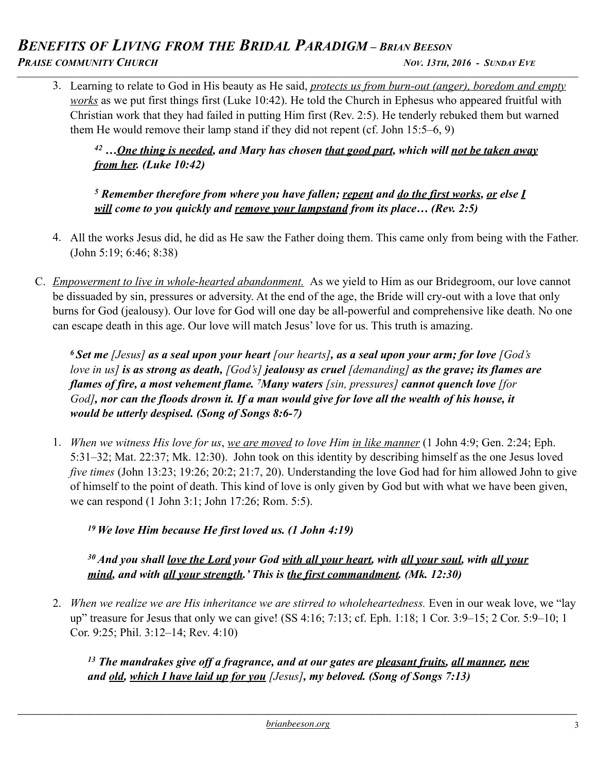#### *BENEFITS OF LIVING FROM THE BRIDAL PARADIGM – BRIAN BEESON* **PRAISE COMMUNITY CHURCH NOV. 13TH, 2016 - SUNDAY EVE** *\_\_\_\_\_\_\_\_\_\_\_\_\_\_\_\_\_\_\_\_\_\_\_\_\_\_\_\_\_\_\_\_\_\_\_\_\_\_\_\_\_\_\_\_\_\_\_\_\_\_\_\_\_\_\_\_\_\_\_\_\_\_\_\_\_\_\_\_\_\_\_\_\_\_\_\_\_\_\_\_\_\_\_\_\_\_\_\_\_\_\_\_\_\_\_\_\_\_\_\_\_\_\_\_\_\_\_\_\_\_\_\_\_\_\_\_\_\_\_\_\_\_\_\_\_\_\_\_\_\_\_\_\_\_\_\_\_\_\_\_\_\_\_\_*

3. Learning to relate to God in His beauty as He said, *protects us from burn-out (anger), boredom and empty works* as we put first things first (Luke 10:42). He told the Church in Ephesus who appeared fruitful with Christian work that they had failed in putting Him first (Rev. 2:5). He tenderly rebuked them but warned them He would remove their lamp stand if they did not repent (cf. John 15:5–6, 9)

*42 …One thing is needed, and Mary has chosen that good part, which will not be taken away from her. (Luke 10:42)* 

*5 Remember therefore from where you have fallen; repent and do the first works, or else I will come to you quickly and remove your lampstand from its place… (Rev. 2:5)* 

- 4. All the works Jesus did, he did as He saw the Father doing them. This came only from being with the Father. (John 5:19; 6:46; 8:38)
- C. *Empowerment to live in whole-hearted abandonment.* As we yield to Him as our Bridegroom, our love cannot be dissuaded by sin, pressures or adversity. At the end of the age, the Bride will cry-out with a love that only burns for God (jealousy). Our love for God will one day be all-powerful and comprehensive like death. No one can escape death in this age. Our love will match Jesus' love for us. This truth is amazing.

*6 Set me [Jesus] as a seal upon your heart [our hearts], as a seal upon your arm; for love [God's love in us] is as strong as death, [God's] jealousy as cruel [demanding] as the grave; its flames are flames of fire, a most vehement flame. 7Many waters [sin, pressures] cannot quench love [for God], nor can the floods drown it. If a man would give for love all the wealth of his house, it would be utterly despised. (Song of Songs 8:6-7)*

1. *When we witness His love for us*, *we are moved to love Him in like manner* (1 John 4:9; Gen. 2:24; Eph. 5:31–32; Mat. 22:37; Mk. 12:30). John took on this identity by describing himself as the one Jesus loved *five times* (John 13:23; 19:26; 20:2; 21:7, 20). Understanding the love God had for him allowed John to give of himself to the point of death. This kind of love is only given by God but with what we have been given, we can respond (1 John 3:1; John 17:26; Rom. 5:5).

*19 We love Him because He first loved us. (1 John 4:19)* 

*30 And you shall love the Lord your God with all your heart, with all your soul, with all your mind, and with all your strength.' This is the first commandment. (Mk. 12:30)* 

2. *When we realize we are His inheritance we are stirred to wholeheartedness.* Even in our weak love, we "lay up" treasure for Jesus that only we can give! (SS 4:16; 7:13; cf. Eph. 1:18; 1 Cor. 3:9–15; 2 Cor. 5:9–10; 1 Cor. 9:25; Phil. 3:12–14; Rev. 4:10)

*13 The mandrakes give off a fragrance, and at our gates are pleasant fruits, all manner, new and old, which I have laid up for you [Jesus], my beloved. (Song of Songs 7:13)*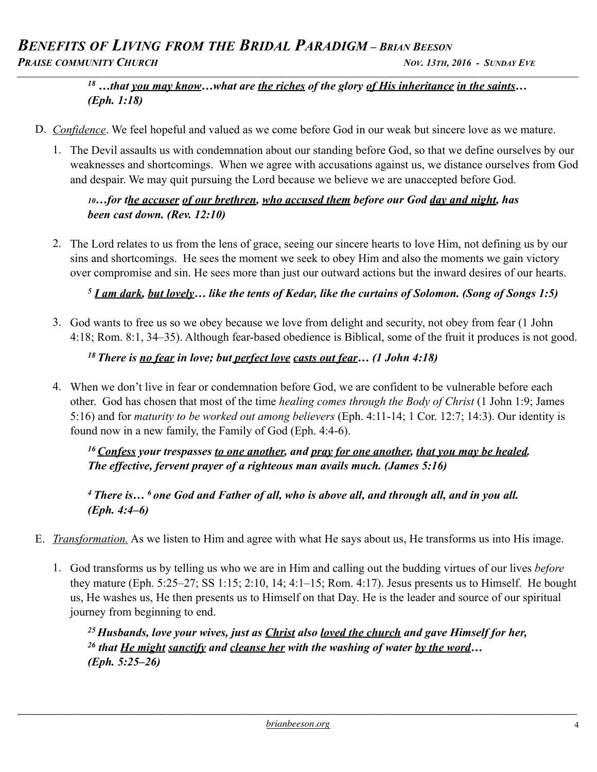# *BENEFITS OF LIVING FROM THE BRIDAL PARADIGM – BRIAN BEESON* **PRAISE COMMUNITY CHURCH NOV. 13TH, 2016 - SUNDAY EVE**

# *\_\_\_\_\_\_\_\_\_\_\_\_\_\_\_\_\_\_\_\_\_\_\_\_\_\_\_\_\_\_\_\_\_\_\_\_\_\_\_\_\_\_\_\_\_\_\_\_\_\_\_\_\_\_\_\_\_\_\_\_\_\_\_\_\_\_\_\_\_\_\_\_\_\_\_\_\_\_\_\_\_\_\_\_\_\_\_\_\_\_\_\_\_\_\_\_\_\_\_\_\_\_\_\_\_\_\_\_\_\_\_\_\_\_\_\_\_\_\_\_\_\_\_\_\_\_\_\_\_\_\_\_\_\_\_\_\_\_\_\_\_\_\_\_*

## *18 …that you may know…what are the riches of the glory of His inheritance in the saints… (Eph. 1:18)*

- D. *Confidence*. We feel hopeful and valued as we come before God in our weak but sincere love as we mature.
	- 1. The Devil assaults us with condemnation about our standing before God, so that we define ourselves by our weaknesses and shortcomings. When we agree with accusations against us, we distance ourselves from God and despair. We may quit pursuing the Lord because we believe we are unaccepted before God.

#### *10…for the accuser of our brethren, who accused them before our God day and night, has been cast down. (Rev. 12:10)*

2. The Lord relates to us from the lens of grace, seeing our sincere hearts to love Him, not defining us by our sins and shortcomings. He sees the moment we seek to obey Him and also the moments we gain victory over compromise and sin. He sees more than just our outward actions but the inward desires of our hearts.

## *<sup>5</sup> I am dark, but lovely… like the tents of Kedar, like the curtains of Solomon. (Song of Songs 1:5)*

3. God wants to free us so we obey because we love from delight and security, not obey from fear (1 John 4:18; Rom. 8:1, 34–35). Although fear-based obedience is Biblical, some of the fruit it produces is not good.

## *18 There is no fear in love; but perfect love casts out fear… (1 John 4:18)*

4. When we don't live in fear or condemnation before God, we are confident to be vulnerable before each other. God has chosen that most of the time *healing comes through the Body of Christ* (1 John 1:9; James 5:16) and for *maturity to be worked out among believers* (Eph. 4:11-14; 1 Cor. 12:7; 14:3). Our identity is found now in a new family, the Family of God (Eph. 4:4-6).

*16 Confess your trespasses to one another, and pray for one another, that you may be healed. The effective, fervent prayer of a righteous man avails much. (James 5:16)* 

*4 There is… 6 one God and Father of all, who is above all, and through all, and in you all. (Eph. 4:4–6)* 

- E. *Transformation.* As we listen to Him and agree with what He says about us, He transforms us into His image.
	- 1. God transforms us by telling us who we are in Him and calling out the budding virtues of our lives *before* they mature (Eph. 5:25–27; SS 1:15; 2:10, 14; 4:1–15; Rom. 4:17). Jesus presents us to Himself. He bought us, He washes us, He then presents us to Himself on that Day. He is the leader and source of our spiritual journey from beginning to end.

*25 Husbands, love your wives, just as Christ also loved the church and gave Himself for her, 26 that He might sanctify and cleanse her with the washing of water by the word… (Eph. 5:25–26)*